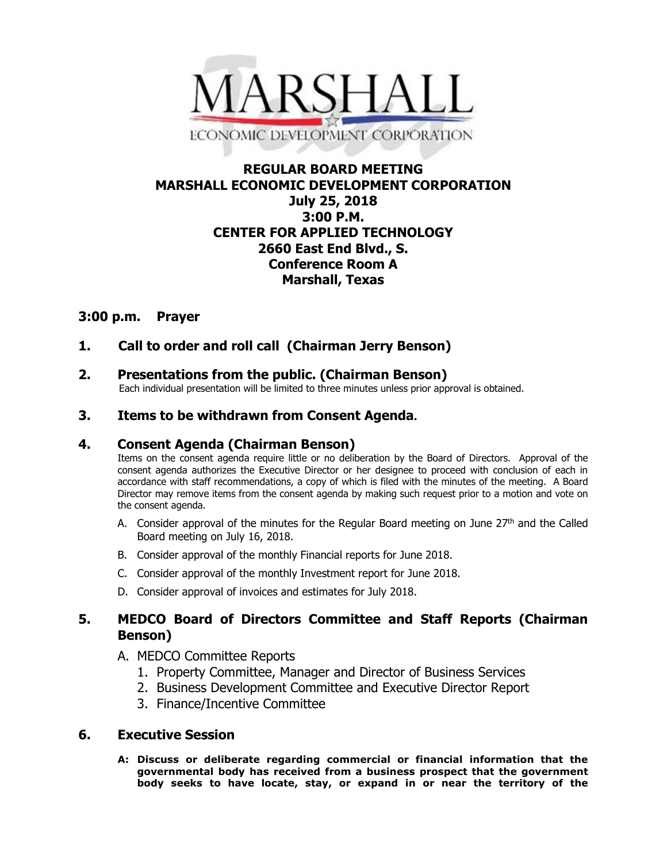

# **REGULAR BOARD MEETING MARSHALL ECONOMIC DEVELOPMENT CORPORATION July 25, 2018 3:00 P.M. CENTER FOR APPLIED TECHNOLOGY 2660 East End Blvd., S. Conference Room A Marshall, Texas**

## **3:00 p.m. Prayer**

# **1. Call to order and roll call (Chairman Jerry Benson)**

# **2. Presentations from the public. (Chairman Benson)**<br>Each individual presentation will be limited to three minutes unless prior approval is obtained.

## **3. Items to be withdrawn from Consent Agenda.**

#### **4. Consent Agenda (Chairman Benson)**

Items on the consent agenda require little or no deliberation by the Board of Directors. Approval of the consent agenda authorizes the Executive Director or her designee to proceed with conclusion of each in accordance with staff recommendations, a copy of which is filed with the minutes of the meeting. A Board Director may remove items from the consent agenda by making such request prior to a motion and vote on the consent agenda.

- A. Consider approval of the minutes for the Regular Board meeting on June  $27<sup>th</sup>$  and the Called Board meeting on July 16, 2018.
- B. Consider approval of the monthly Financial reports for June 2018.
- C. Consider approval of the monthly Investment report for June 2018.
- D. Consider approval of invoices and estimates for July 2018.

## **5. MEDCO Board of Directors Committee and Staff Reports (Chairman Benson)**

- A. MEDCO Committee Reports
	- 1. Property Committee, Manager and Director of Business Services
	- 2. Business Development Committee and Executive Director Report
	- 3. Finance/Incentive Committee

#### **6. Executive Session**

**A: Discuss or deliberate regarding commercial or financial information that the governmental body has received from a business prospect that the government body seeks to have locate, stay, or expand in or near the territory of the**